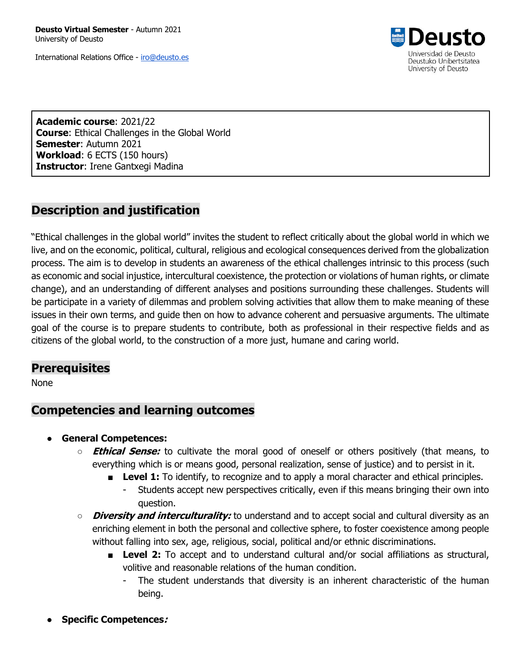**Deusto Virtual Semester** - Autumn 2021 University of Deusto

International Relations Office - iro@deusto.es



**Academic course**: 2021/22 **Course**: Ethical Challenges in the Global World **Semester**: Autumn 2021 **Workload**: 6 ECTS (150 hours) **Instructor**: Irene Gantxegi Madina

## **Description and justification**

"Ethical challenges in the global world" invites the student to reflect critically about the global world in which we live, and on the economic, political, cultural, religious and ecological consequences derived from the globalization process. The aim is to develop in students an awareness of the ethical challenges intrinsic to this process (such as economic and social injustice, intercultural coexistence, the protection or violations of human rights, or climate change), and an understanding of different analyses and positions surrounding these challenges. Students will be participate in a variety of dilemmas and problem solving activities that allow them to make meaning of these issues in their own terms, and guide then on how to advance coherent and persuasive arguments. The ultimate goal of the course is to prepare students to contribute, both as professional in their respective fields and as citizens of the global world, to the construction of a more just, humane and caring world.

### **Prerequisites**

None

### **Competencies and learning outcomes**

- **General Competences:**
	- **Ethical Sense:** to cultivate the moral good of oneself or others positively (that means, to everything which is or means good, personal realization, sense of justice) and to persist in it.
		- **Level 1:** To identify, to recognize and to apply a moral character and ethical principles.
			- Students accept new perspectives critically, even if this means bringing their own into question.
	- **Diversity and interculturality:** to understand and to accept social and cultural diversity as an enriching element in both the personal and collective sphere, to foster coexistence among people without falling into sex, age, religious, social, political and/or ethnic discriminations.
		- **Level 2:** To accept and to understand cultural and/or social affiliations as structural, volitive and reasonable relations of the human condition.
			- The student understands that diversity is an inherent characteristic of the human being.
- **Specific Competences:**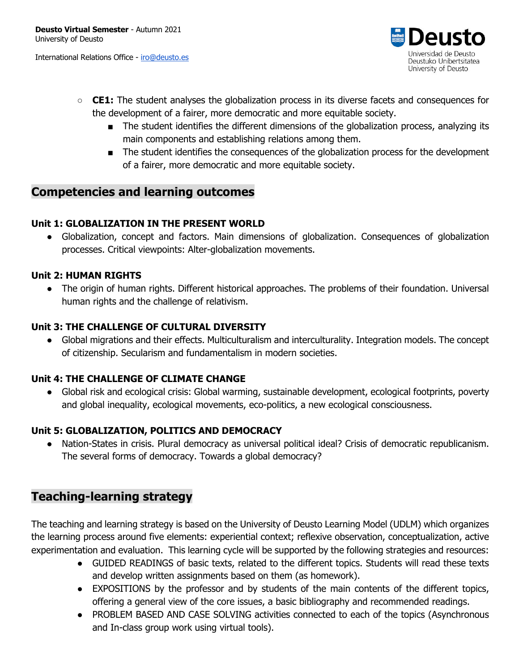International Relations Office - iro@deusto.es



- **CE1:** The student analyses the globalization process in its diverse facets and consequences for the development of a fairer, more democratic and more equitable society.
	- The student identifies the different dimensions of the globalization process, analyzing its main components and establishing relations among them.
	- The student identifies the consequences of the globalization process for the development of a fairer, more democratic and more equitable society.

## **Competencies and learning outcomes**

#### **Unit 1: GLOBALIZATION IN THE PRESENT WORLD**

● Globalization, concept and factors. Main dimensions of globalization. Consequences of globalization processes. Critical viewpoints: Alter-globalization movements.

#### **Unit 2: HUMAN RIGHTS**

• The origin of human rights. Different historical approaches. The problems of their foundation. Universal human rights and the challenge of relativism.

#### **Unit 3: THE CHALLENGE OF CULTURAL DIVERSITY**

● Global migrations and their effects. Multiculturalism and interculturality. Integration models. The concept of citizenship. Secularism and fundamentalism in modern societies.

#### **Unit 4: THE CHALLENGE OF CLIMATE CHANGE**

● Global risk and ecological crisis: Global warming, sustainable development, ecological footprints, poverty and global inequality, ecological movements, eco-politics, a new ecological consciousness.

### **Unit 5: GLOBALIZATION, POLITICS AND DEMOCRACY**

Nation-States in crisis. Plural democracy as universal political ideal? Crisis of democratic republicanism. The several forms of democracy. Towards a global democracy?

## **Teaching-learning strategy**

The teaching and learning strategy is based on the University of Deusto Learning Model (UDLM) which organizes the learning process around five elements: experiential context; reflexive observation, conceptualization, active experimentation and evaluation. This learning cycle will be supported by the following strategies and resources:

- GUIDED READINGS of basic texts, related to the different topics. Students will read these texts and develop written assignments based on them (as homework).
- EXPOSITIONS by the professor and by students of the main contents of the different topics, offering a general view of the core issues, a basic bibliography and recommended readings.
- PROBLEM BASED AND CASE SOLVING activities connected to each of the topics (Asynchronous and In-class group work using virtual tools).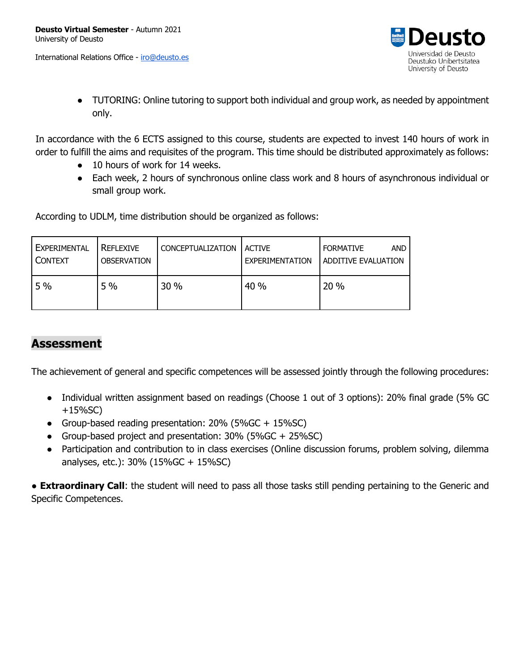International Relations Office - iro@deusto.es



● TUTORING: Online tutoring to support both individual and group work, as needed by appointment only.

In accordance with the 6 ECTS assigned to this course, students are expected to invest 140 hours of work in order to fulfill the aims and requisites of the program. This time should be distributed approximately as follows:

- 10 hours of work for 14 weeks.
- Each week, 2 hours of synchronous online class work and 8 hours of asynchronous individual or small group work.

According to UDLM, time distribution should be organized as follows:

| EXPERIMENTAL<br><b>CONTEXT</b> | REFLEXIVE<br><b>OBSERVATION</b> | <b>CONCEPTUALIZATION</b> | <b>ACTIVE</b><br>EXPERIMENTATION | AND<br><b>FORMATIVE</b><br>ADDITIVE EVALUATION |
|--------------------------------|---------------------------------|--------------------------|----------------------------------|------------------------------------------------|
| 5%                             | 5%                              | 30 %                     | 40%                              | 20 %                                           |

# **Assessment**

The achievement of general and specific competences will be assessed jointly through the following procedures:

- Individual written assignment based on readings (Choose 1 out of 3 options): 20% final grade (5% GC +15%SC)
- Group-based reading presentation: 20% (5%GC + 15%SC)
- Group-based project and presentation: 30% (5%GC + 25%SC)
- Participation and contribution to in class exercises (Online discussion forums, problem solving, dilemma analyses, etc.): 30% (15%GC + 15%SC)

**• Extraordinary Call**: the student will need to pass all those tasks still pending pertaining to the Generic and Specific Competences.